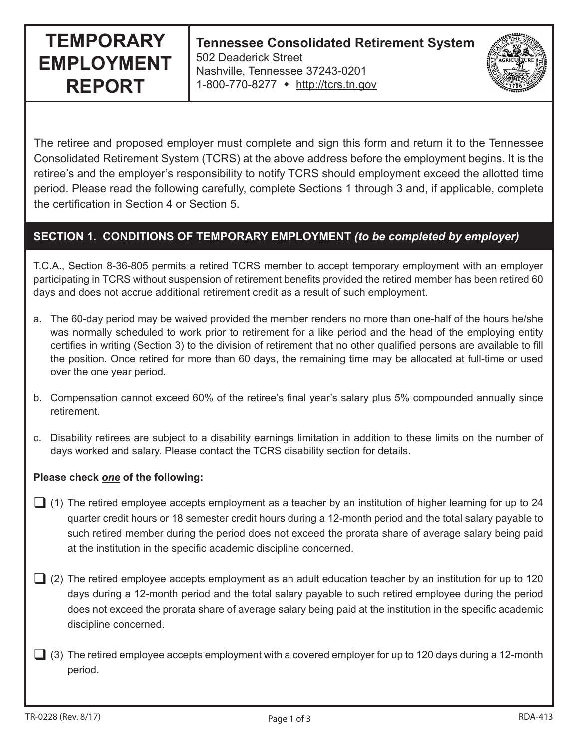# **TEMPORARY EMPLOYMENT REPORT**

**Tennessee Consolidated Retirement System** 502 Deaderick Street Nashville, Tennessee 37243-0201 1-800-770-8277 • http://tcrs.tn.gov

The retiree and proposed employer must complete and sign this form and return it to the Tennessee Consolidated Retirement System (TCRS) at the above address before the employment begins. It is the retiree's and the employer's responsibility to notify TCRS should employment exceed the allotted time period. Please read the following carefully, complete Sections 1 through 3 and, if applicable, complete the certification in Section 4 or Section 5.

## **SECTION 1. CONDITIONS OF TEMPORARY EMPLOYMENT** *(to be completed by employer)*

T.C.A., Section 8-36-805 permits a retired TCRS member to accept temporary employment with an employer participating in TCRS without suspension of retirement benefits provided the retired member has been retired 60 days and does not accrue additional retirement credit as a result of such employment.

- a. The 60-day period may be waived provided the member renders no more than one-half of the hours he/she was normally scheduled to work prior to retirement for a like period and the head of the employing entity certifies in writing (Section 3) to the division of retirement that no other qualified persons are available to fill the position. Once retired for more than 60 days, the remaining time may be allocated at full-time or used over the one year period.
- b. Compensation cannot exceed 60% of the retiree's final year's salary plus 5% compounded annually since retirement.
- c. Disability retirees are subject to a disability earnings limitation in addition to these limits on the number of days worked and salary. Please contact the TCRS disability section for details.

#### **Please check** *one* **of the following:**

- $\Box$  (1) The retired employee accepts employment as a teacher by an institution of higher learning for up to 24 quarter credit hours or 18 semester credit hours during a 12-month period and the total salary payable to such retired member during the period does not exceed the prorata share of average salary being paid at the institution in the specific academic discipline concerned.
- $\Box$  (2) The retired employee accepts employment as an adult education teacher by an institution for up to 120 days during a 12-month period and the total salary payable to such retired employee during the period does not exceed the prorata share of average salary being paid at the institution in the specific academic discipline concerned.
- $\Box$  (3) The retired employee accepts employment with a covered employer for up to 120 days during a 12-month period.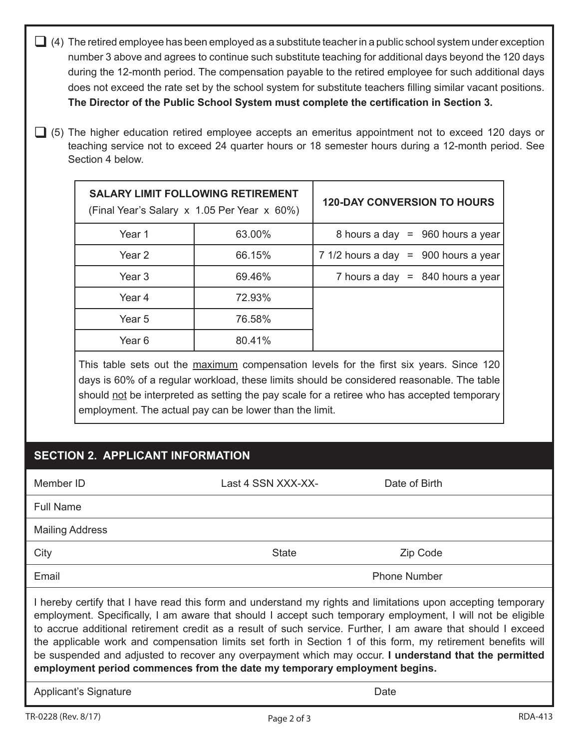| (4) The retired employee has been employed as a substitute teacher in a public school system under exception<br>number 3 above and agrees to continue such substitute teaching for additional days beyond the 120 days<br>during the 12-month period. The compensation payable to the retired employee for such additional days<br>does not exceed the rate set by the school system for substitute teachers filling similar vacant positions.<br>The Director of the Public School System must complete the certification in Section 3.                                                                                                           |                                                                                                                                                                                                                                                                                                                                                |                                                                                         |                                        |  |
|----------------------------------------------------------------------------------------------------------------------------------------------------------------------------------------------------------------------------------------------------------------------------------------------------------------------------------------------------------------------------------------------------------------------------------------------------------------------------------------------------------------------------------------------------------------------------------------------------------------------------------------------------|------------------------------------------------------------------------------------------------------------------------------------------------------------------------------------------------------------------------------------------------------------------------------------------------------------------------------------------------|-----------------------------------------------------------------------------------------|----------------------------------------|--|
| (5) The higher education retired employee accepts an emeritus appointment not to exceed 120 days or<br>teaching service not to exceed 24 quarter hours or 18 semester hours during a 12-month period. See<br>Section 4 below.                                                                                                                                                                                                                                                                                                                                                                                                                      |                                                                                                                                                                                                                                                                                                                                                |                                                                                         |                                        |  |
|                                                                                                                                                                                                                                                                                                                                                                                                                                                                                                                                                                                                                                                    |                                                                                                                                                                                                                                                                                                                                                | <b>SALARY LIMIT FOLLOWING RETIREMENT</b><br>(Final Year's Salary x 1.05 Per Year x 60%) | <b>120-DAY CONVERSION TO HOURS</b>     |  |
|                                                                                                                                                                                                                                                                                                                                                                                                                                                                                                                                                                                                                                                    | Year 1                                                                                                                                                                                                                                                                                                                                         | 63.00%                                                                                  | 8 hours a day = $960$ hours a year     |  |
|                                                                                                                                                                                                                                                                                                                                                                                                                                                                                                                                                                                                                                                    | Year <sub>2</sub>                                                                                                                                                                                                                                                                                                                              | 66.15%                                                                                  | 7 1/2 hours a day = $900$ hours a year |  |
|                                                                                                                                                                                                                                                                                                                                                                                                                                                                                                                                                                                                                                                    | Year <sub>3</sub>                                                                                                                                                                                                                                                                                                                              | 69.46%                                                                                  | 7 hours a day $= 840$ hours a year     |  |
|                                                                                                                                                                                                                                                                                                                                                                                                                                                                                                                                                                                                                                                    | Year 4                                                                                                                                                                                                                                                                                                                                         | 72.93%                                                                                  |                                        |  |
|                                                                                                                                                                                                                                                                                                                                                                                                                                                                                                                                                                                                                                                    | Year 5                                                                                                                                                                                                                                                                                                                                         | 76.58%                                                                                  |                                        |  |
|                                                                                                                                                                                                                                                                                                                                                                                                                                                                                                                                                                                                                                                    | Year <sub>6</sub>                                                                                                                                                                                                                                                                                                                              | 80.41%                                                                                  |                                        |  |
|                                                                                                                                                                                                                                                                                                                                                                                                                                                                                                                                                                                                                                                    | This table sets out the maximum compensation levels for the first six years. Since 120<br>days is 60% of a regular workload, these limits should be considered reasonable. The table<br>should not be interpreted as setting the pay scale for a retiree who has accepted temporary<br>employment. The actual pay can be lower than the limit. |                                                                                         |                                        |  |
| <b>SECTION 2. APPLICANT INFORMATION</b>                                                                                                                                                                                                                                                                                                                                                                                                                                                                                                                                                                                                            |                                                                                                                                                                                                                                                                                                                                                |                                                                                         |                                        |  |
| Member ID                                                                                                                                                                                                                                                                                                                                                                                                                                                                                                                                                                                                                                          |                                                                                                                                                                                                                                                                                                                                                | Last 4 SSN XXX-XX-                                                                      | Date of Birth                          |  |
| <b>Full Name</b>                                                                                                                                                                                                                                                                                                                                                                                                                                                                                                                                                                                                                                   |                                                                                                                                                                                                                                                                                                                                                |                                                                                         |                                        |  |
| <b>Mailing Address</b>                                                                                                                                                                                                                                                                                                                                                                                                                                                                                                                                                                                                                             |                                                                                                                                                                                                                                                                                                                                                |                                                                                         |                                        |  |
| City                                                                                                                                                                                                                                                                                                                                                                                                                                                                                                                                                                                                                                               |                                                                                                                                                                                                                                                                                                                                                | <b>State</b>                                                                            | Zip Code                               |  |
| Email                                                                                                                                                                                                                                                                                                                                                                                                                                                                                                                                                                                                                                              |                                                                                                                                                                                                                                                                                                                                                |                                                                                         | <b>Phone Number</b>                    |  |
| I hereby certify that I have read this form and understand my rights and limitations upon accepting temporary<br>employment. Specifically, I am aware that should I accept such temporary employment, I will not be eligible<br>to accrue additional retirement credit as a result of such service. Further, I am aware that should I exceed<br>the applicable work and compensation limits set forth in Section 1 of this form, my retirement benefits will<br>be suspended and adjusted to recover any overpayment which may occur. I understand that the permitted<br>employment period commences from the date my temporary employment begins. |                                                                                                                                                                                                                                                                                                                                                |                                                                                         |                                        |  |
| Applicant's Signature<br>Date                                                                                                                                                                                                                                                                                                                                                                                                                                                                                                                                                                                                                      |                                                                                                                                                                                                                                                                                                                                                |                                                                                         |                                        |  |